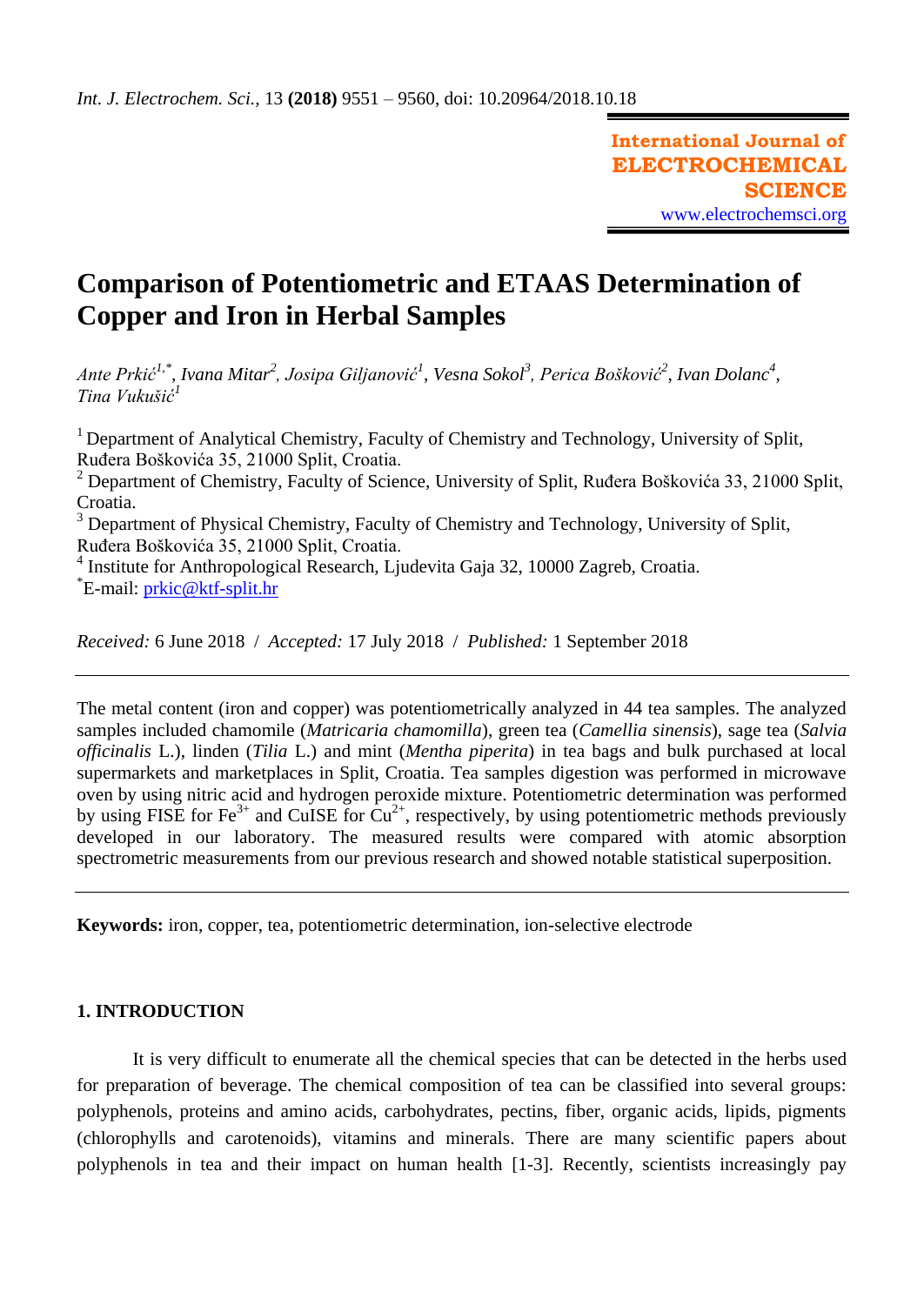# **Comparison of Potentiometric and ETAAS Determination of Copper and Iron in Herbal Samples**

*Ante Prkić1,\*, Ivana Mitar<sup>2</sup> , Josipa Giljanović<sup>1</sup> , Vesna Sokol<sup>3</sup> , Perica Bošković<sup>2</sup> , Ivan Dolanc<sup>4</sup> , Tina Vukušić<sup>1</sup>*

<sup>1</sup> Department of Analytical Chemistry, Faculty of Chemistry and Technology, University of Split, Ruđera Boškovića 35, 21000 Split, Croatia.

<sup>2</sup> Department of Chemistry, Faculty of Science, University of Split, Ruđera Boškovića 33, 21000 Split, Croatia.

<sup>3</sup> Department of Physical Chemistry, Faculty of Chemistry and Technology, University of Split, Ruđera Boškovića 35, 21000 Split, Croatia.

<sup>4</sup> Institute for Anthropological Research, Ljudevita Gaja 32, 10000 Zagreb, Croatia. \*E-mail: [prkic@ktf-split.hr](mailto:prkic@ktf-split.hr)

*Received:* 6 June 2018/ *Accepted:* 17 July 2018 / *Published:* 1 September 2018

The metal content (iron and copper) was potentiometrically analyzed in 44 tea samples. The analyzed samples included chamomile (*Matricaria chamomilla*), green tea (*Camellia sinensis*), sage tea (*Salvia officinalis* L.), linden (*Tilia* L.) and mint (*Mentha piperita*) in tea bags and bulk purchased at local supermarkets and marketplaces in Split, Croatia. Tea samples digestion was performed in microwave oven by using nitric acid and hydrogen peroxide mixture. Potentiometric determination was performed by using FISE for Fe<sup>3+</sup> and CuISE for  $Cu^{2+}$ , respectively, by using potentiometric methods previously developed in our laboratory. The measured results were compared with atomic absorption spectrometric measurements from our previous research and showed notable statistical superposition.

**Keywords:** iron, copper, tea, potentiometric determination, ion-selective electrode

# **1. INTRODUCTION**

It is very difficult to enumerate all the chemical species that can be detected in the herbs used for preparation of beverage. The chemical composition of tea can be classified into several groups: polyphenols, proteins and amino acids, carbohydrates, pectins, fiber, organic acids, lipids, pigments (chlorophylls and carotenoids), vitamins and minerals. There are many scientific papers about polyphenols in tea and their impact on human health [1-3]. Recently, scientists increasingly pay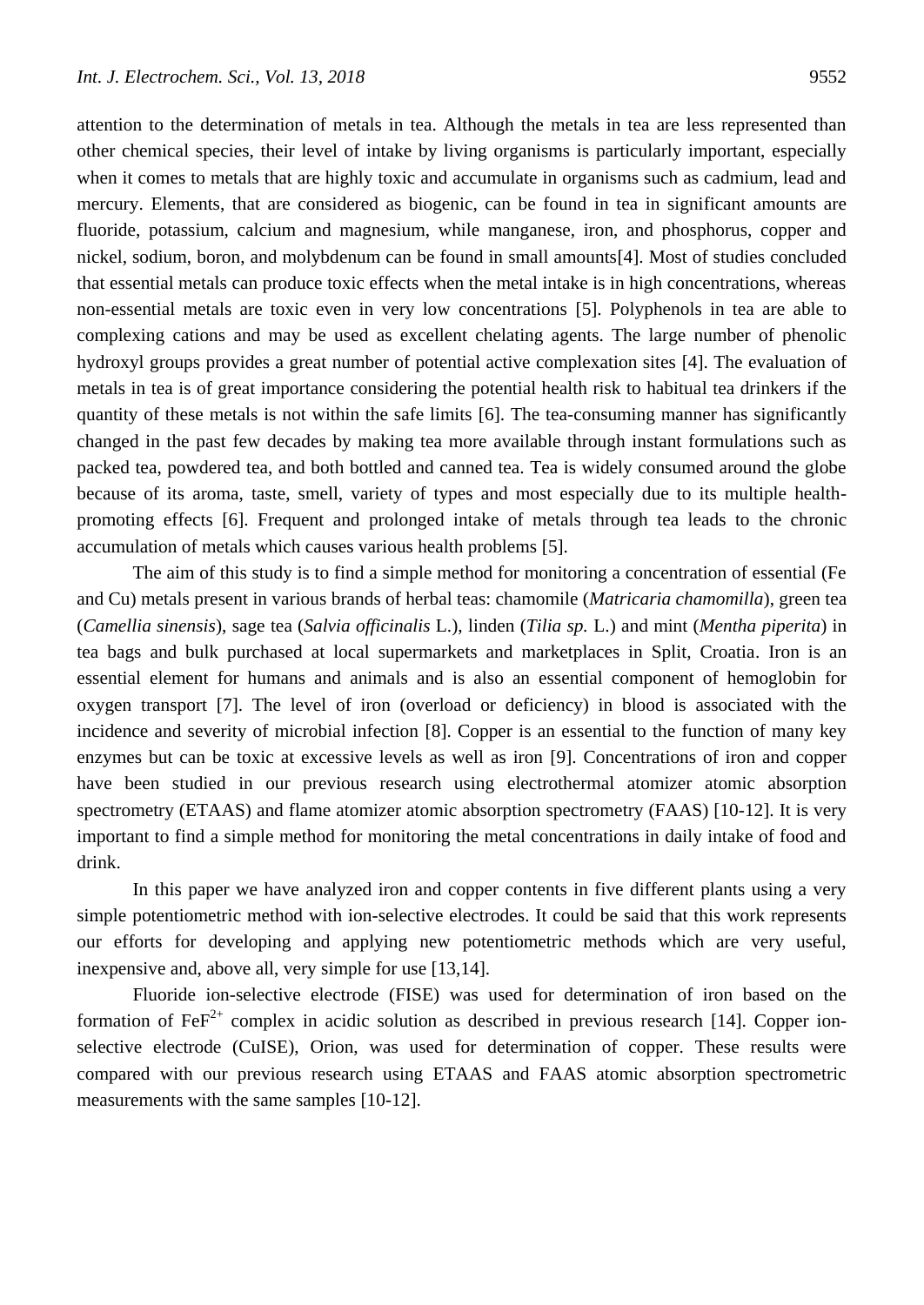attention to the determination of metals in tea. Although the metals in tea are less represented than other chemical species, their level of intake by living organisms is particularly important, especially when it comes to metals that are highly toxic and accumulate in organisms such as cadmium, lead and mercury. Elements, that are considered as biogenic, can be found in tea in significant amounts are fluoride, potassium, calcium and magnesium, while manganese, iron, and phosphorus, copper and nickel, sodium, boron, and molybdenum can be found in small amounts[4]. Most of studies concluded that essential metals can produce toxic effects when the metal intake is in high concentrations, whereas non-essential metals are toxic even in very low concentrations [5]. Polyphenols in tea are able to complexing cations and may be used as excellent chelating agents. The large number of phenolic hydroxyl groups provides a great number of potential active complexation sites [4]. The evaluation of metals in tea is of great importance considering the potential health risk to habitual tea drinkers if the quantity of these metals is not within the safe limits [6]. The tea-consuming manner has significantly changed in the past few decades by making tea more available through instant formulations such as packed tea, powdered tea, and both bottled and canned tea. Tea is widely consumed around the globe because of its aroma, taste, smell, variety of types and most especially due to its multiple healthpromoting effects [6]. Frequent and prolonged intake of metals through tea leads to the chronic accumulation of metals which causes various health problems [5].

The aim of this study is to find a simple method for monitoring a concentration of essential (Fe and Cu) metals present in various brands of herbal teas: chamomile (*Matricaria chamomilla*), green tea (*Camellia sinensis*), sage tea (*Salvia officinalis* L.), linden (*Tilia sp.* L.) and mint (*Mentha piperita*) in tea bags and bulk purchased at local supermarkets and marketplaces in Split, Croatia. Iron is an essential element for humans and animals and is also an essential component of hemoglobin for oxygen transport [7]. The level of iron (overload or deficiency) in blood is associated with the incidence and severity of microbial infection [8]. Copper is an essential to the function of many key enzymes but can be toxic at excessive levels as well as iron [9]. Concentrations of iron and copper have been studied in our previous research using electrothermal atomizer atomic absorption spectrometry (ETAAS) and flame atomizer atomic absorption spectrometry (FAAS) [10-12]. It is very important to find a simple method for monitoring the metal concentrations in daily intake of food and drink.

In this paper we have analyzed iron and copper contents in five different plants using a very simple potentiometric method with ion-selective electrodes. It could be said that this work represents our efforts for developing and applying new potentiometric methods which are very useful, inexpensive and, above all, very simple for use [13,14].

Fluoride ion-selective electrode (FISE) was used for determination of iron based on the formation of  $FeF^{2+}$  complex in acidic solution as described in previous research [14]. Copper ionselective electrode (CuISE), Orion, was used for determination of copper. These results were compared with our previous research using ETAAS and FAAS atomic absorption spectrometric measurements with the same samples [10-12].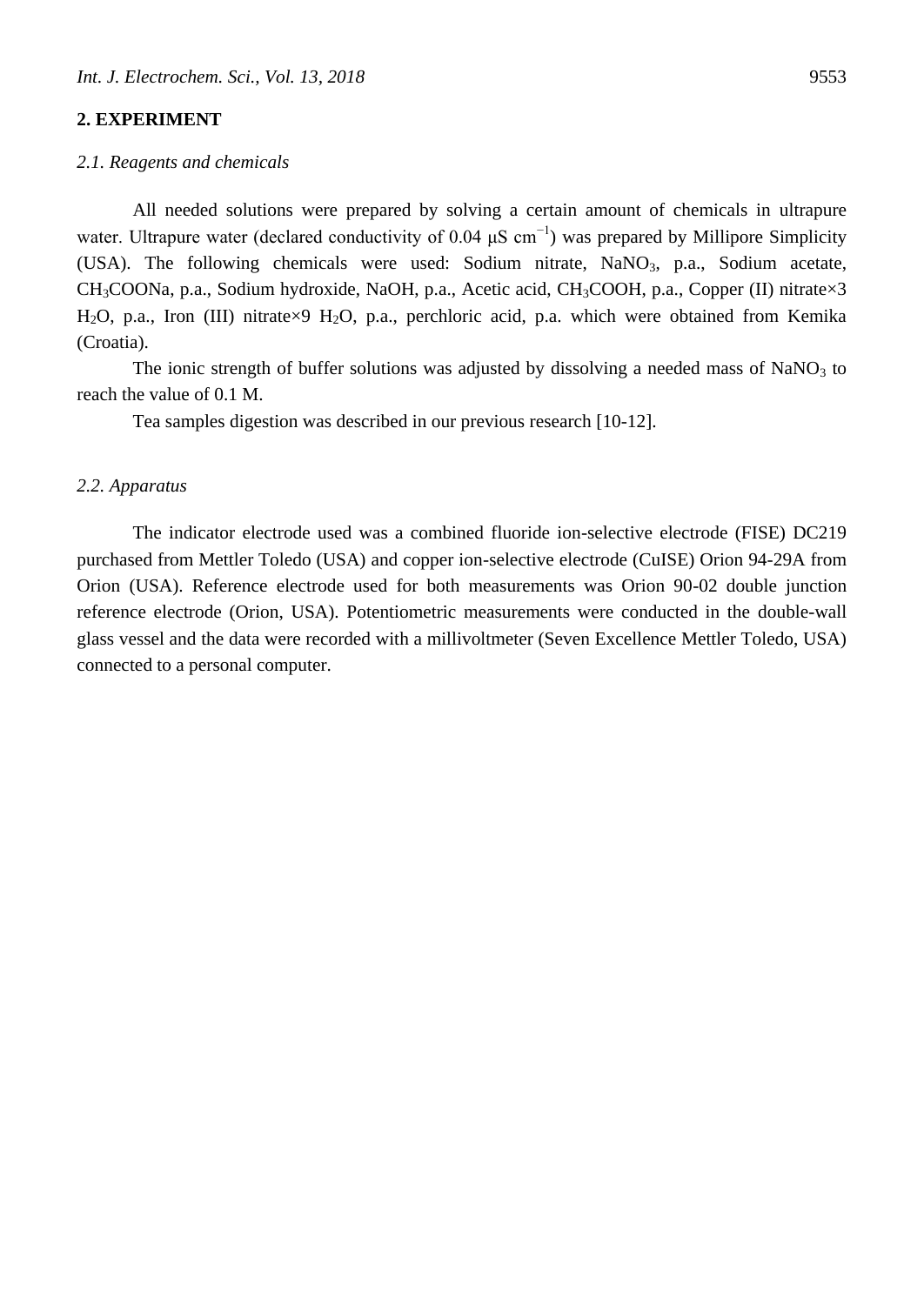## **2. EXPERIMENT**

#### *2.1. Reagents and chemicals*

All needed solutions were prepared by solving a certain amount of chemicals in ultrapure water. Ultrapure water (declared conductivity of 0.04  $\mu$ S cm<sup>-1</sup>) was prepared by Millipore Simplicity (USA). The following chemicals were used: Sodium nitrate,  $NaNO<sub>3</sub>$ , p.a., Sodium acetate, CH<sub>3</sub>COONa, p.a., Sodium hydroxide, NaOH, p.a., Acetic acid, CH<sub>3</sub>COOH, p.a., Copper (II) nitrate×3 H<sub>2</sub>O, p.a., Iron (III) nitrate×9 H<sub>2</sub>O, p.a., perchloric acid, p.a. which were obtained from Kemika (Croatia).

The ionic strength of buffer solutions was adjusted by dissolving a needed mass of NaNO<sub>3</sub> to reach the value of 0.1 M.

Tea samples digestion was described in our previous research [10-12].

# *2.2. Apparatus*

The indicator electrode used was a combined fluoride ion-selective electrode (FISE) DC219 purchased from Mettler Toledo (USA) and copper ion-selective electrode (CuISE) Orion 94-29A from Orion (USA). Reference electrode used for both measurements was Orion 90-02 double junction reference electrode (Orion, USA). Potentiometric measurements were conducted in the double-wall glass vessel and the data were recorded with a millivoltmeter (Seven Excellence Mettler Toledo, USA) connected to a personal computer.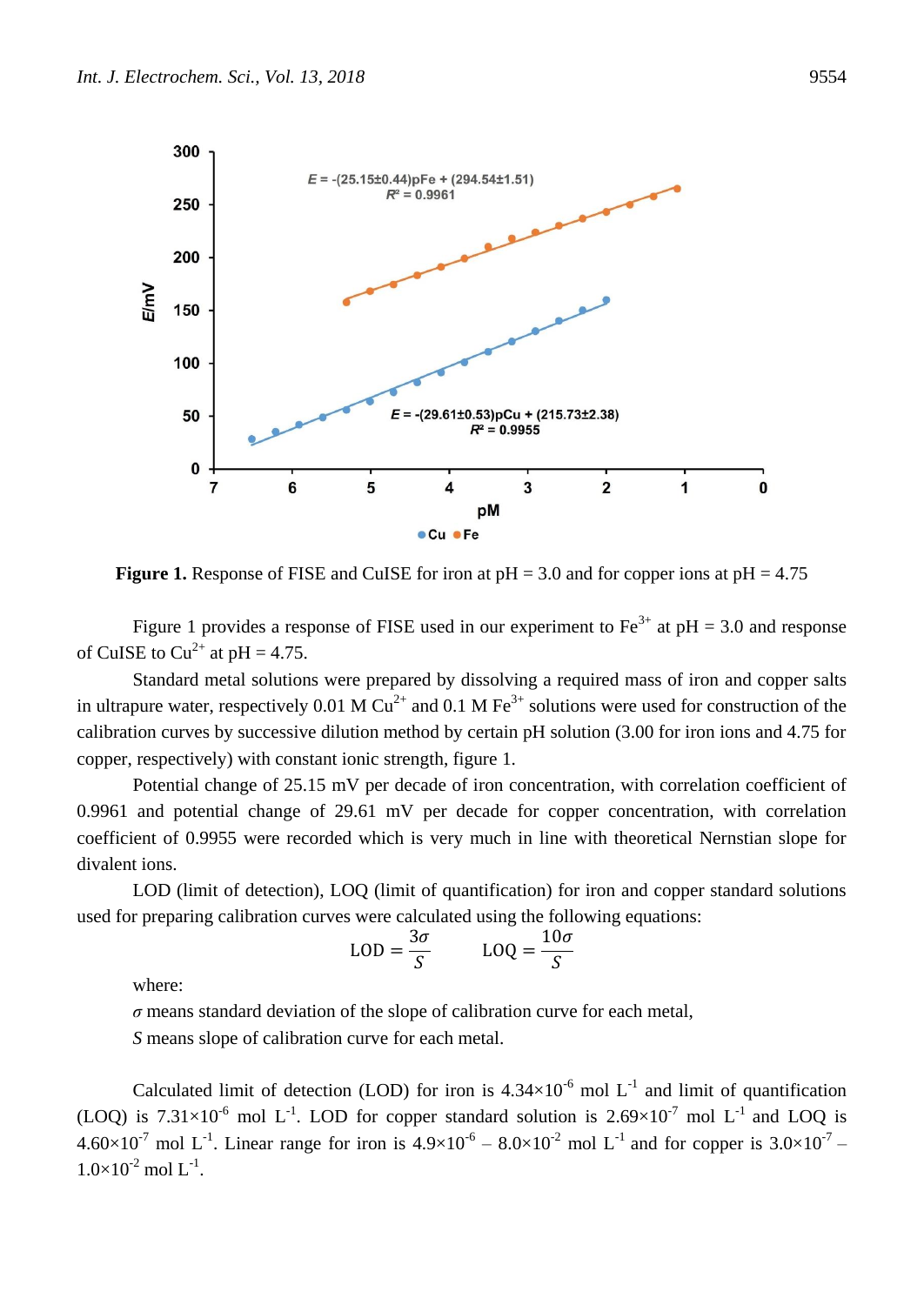

<span id="page-3-0"></span>**Figure 1.** Response of FISE and CuISE for iron at  $pH = 3.0$  and for copper ions at  $pH = 4.75$ 

[Figure 1](#page-3-0) provides a response of FISE used in our experiment to  $Fe^{3+}$  at  $pH = 3.0$  and response of CuISE to  $Cu^{2+}$  at pH = 4.75.

Standard metal solutions were prepared by dissolving a required mass of iron and copper salts in ultrapure water, respectively 0.01 M  $Cu^{2+}$  and 0.1 M Fe<sup>3+</sup> solutions were used for construction of the calibration curves by successive dilution method by certain pH solution (3.00 for iron ions and 4.75 for copper, respectively) with constant ionic strength, figure 1.

Potential change of 25.15 mV per decade of iron concentration, with correlation coefficient of 0.9961 and potential change of 29.61 mV per decade for copper concentration, with correlation coefficient of 0.9955 were recorded which is very much in line with theoretical Nernstian slope for divalent ions.

LOD (limit of detection), LOQ (limit of quantification) for iron and copper standard solutions used for preparing calibration curves were calculated using the following equations:

$$
LOD = \frac{3\sigma}{S} \qquad \qquad LOQ = \frac{10\sigma}{S}
$$

where:

*σ* means standard deviation of the slope of calibration curve for each metal,

*S* means slope of calibration curve for each metal.

Calculated limit of detection (LOD) for iron is  $4.34 \times 10^{-6}$  mol L<sup>-1</sup> and limit of quantification (LOQ) is 7.31×10<sup>-6</sup> mol L<sup>-1</sup>. LOD for copper standard solution is  $2.69\times10^{-7}$  mol L<sup>-1</sup> and LOQ is 4.60×10<sup>-7</sup> mol L<sup>-1</sup>. Linear range for iron is  $4.9\times10^{-6} - 8.0\times10^{-2}$  mol L<sup>-1</sup> and for copper is  $3.0\times10^{-7}$  $1.0\times10^{-2}$  mol L<sup>-1</sup>.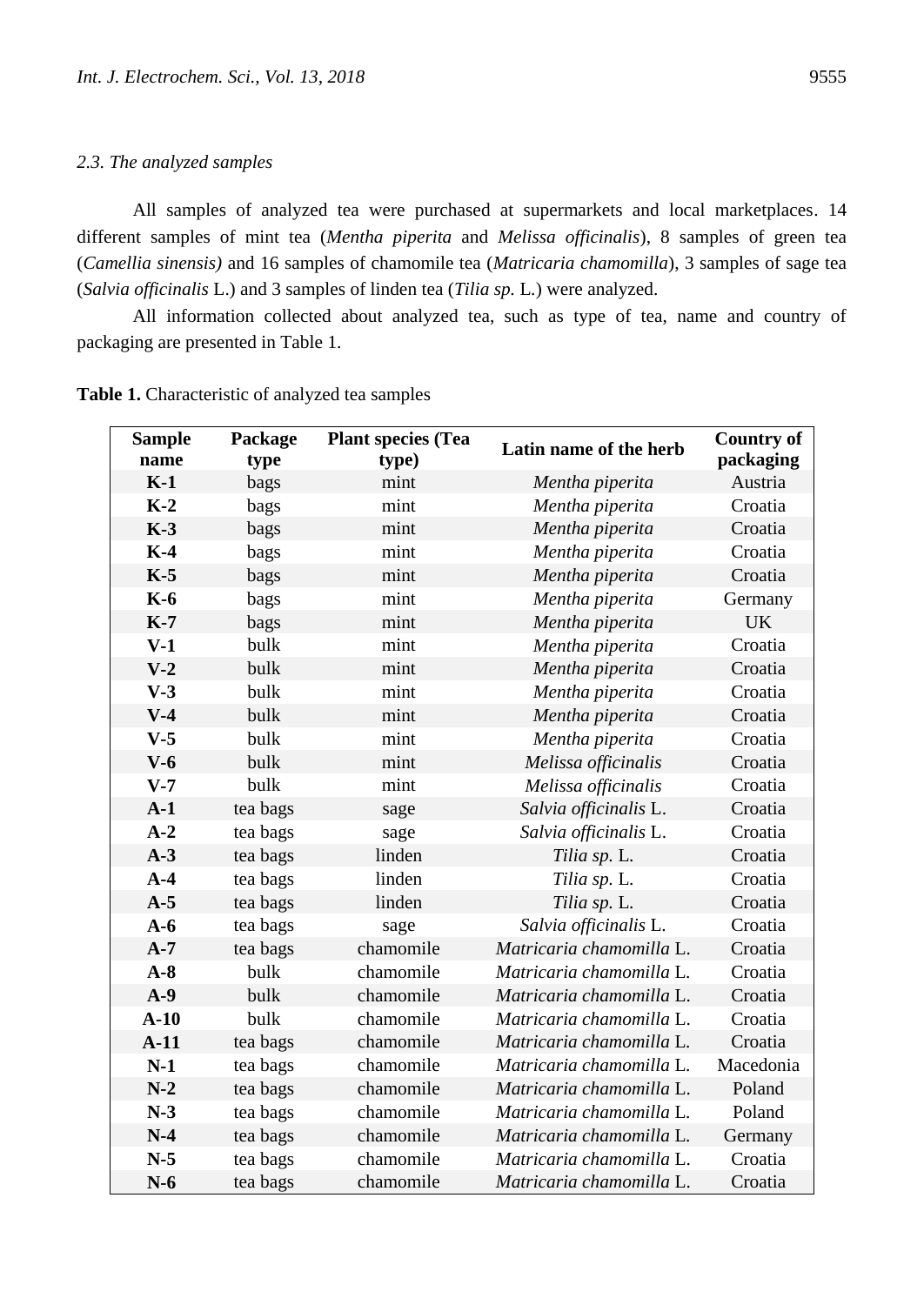# *2.3. The analyzed samples*

All samples of analyzed tea were purchased at supermarkets and local marketplaces. 14 different samples of mint tea (*Mentha piperita* and *Melissa officinalis*), 8 samples of green tea (*Camellia sinensis)* and 16 samples of chamomile tea (*Matricaria chamomilla*), 3 samples of sage tea (*Salvia officinalis* L.) and 3 samples of linden tea (*Tilia sp.* L*.*) were analyzed.

All information collected about analyzed tea, such as type of tea, name and country of packaging are presented in Table 1.

| <b>Sample</b><br>name | Package<br>type | <b>Plant species (Tea</b><br>type) | Latin name of the herb   | <b>Country of</b><br>packaging |
|-----------------------|-----------------|------------------------------------|--------------------------|--------------------------------|
| $K-1$                 | bags            | mint                               | Mentha piperita          | Austria                        |
| $K-2$                 | bags            | mint                               | Mentha piperita          | Croatia                        |
| $K-3$                 | bags            | mint                               | Mentha piperita          | Croatia                        |
| $K-4$                 | bags            | mint                               | Mentha piperita          | Croatia                        |
| $K-5$                 | bags            | mint                               | Mentha piperita          | Croatia                        |
| <b>K-6</b>            | bags            | mint                               | Mentha piperita          | Germany                        |
| $K-7$                 | bags            | mint                               | Mentha piperita          | <b>UK</b>                      |
| $V-1$                 | bulk            | mint                               | Mentha piperita          | Croatia                        |
| $V-2$                 | bulk            | mint                               | Mentha piperita          | Croatia                        |
| $V-3$                 | bulk            | mint                               | Mentha piperita          | Croatia                        |
| $V-4$                 | bulk            | mint                               | Mentha piperita          | Croatia                        |
| $V-5$                 | bulk            | mint                               | Mentha piperita          | Croatia                        |
| $V-6$                 | bulk            | mint                               | Melissa officinalis      | Croatia                        |
| $V-7$                 | bulk            | mint                               | Melissa officinalis      | Croatia                        |
| $A-1$                 | tea bags        | sage                               | Salvia officinalis L.    | Croatia                        |
| $A-2$                 | tea bags        | sage                               | Salvia officinalis L.    | Croatia                        |
| $A-3$                 | tea bags        | linden                             | Tilia sp. L.             | Croatia                        |
| $A-4$                 | tea bags        | linden                             | Tilia sp. L.             | Croatia                        |
| $A-5$                 | tea bags        | linden                             | Tilia sp. L.             | Croatia                        |
| $A-6$                 | tea bags        | sage                               | Salvia officinalis L.    | Croatia                        |
| $A-7$                 | tea bags        | chamomile                          | Matricaria chamomilla L. | Croatia                        |
| $A-8$                 | bulk            | chamomile                          | Matricaria chamomilla L. | Croatia                        |
| $A-9$                 | bulk            | chamomile                          | Matricaria chamomilla L. | Croatia                        |
| $A-10$                | bulk            | chamomile                          | Matricaria chamomilla L. | Croatia                        |
| $A-11$                | tea bags        | chamomile                          | Matricaria chamomilla L. | Croatia                        |
| $N-1$                 | tea bags        | chamomile                          | Matricaria chamomilla L. | Macedonia                      |
| $N-2$                 | tea bags        | chamomile                          | Matricaria chamomilla L. | Poland                         |
| $N-3$                 | tea bags        | chamomile                          | Matricaria chamomilla L. | Poland                         |
| $N-4$                 | tea bags        | chamomile                          | Matricaria chamomilla L. | Germany                        |
| $N-5$                 | tea bags        | chamomile                          | Matricaria chamomilla L. | Croatia                        |
| $N-6$                 | tea bags        | chamomile                          | Matricaria chamomilla L. | Croatia                        |

**Table 1.** Characteristic of analyzed tea samples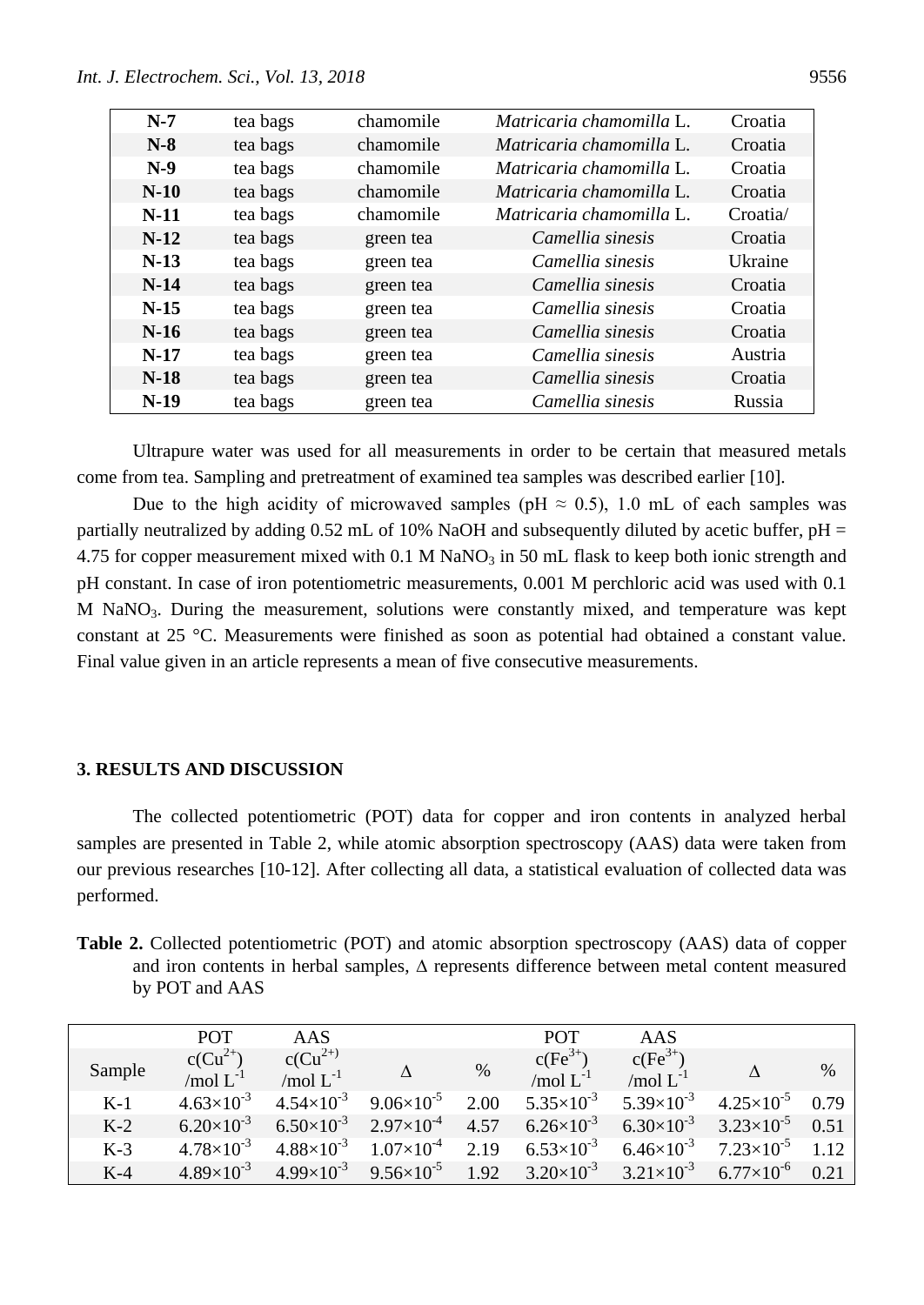| $N-7$  | tea bags | chamomile | Matricaria chamomilla L. | Croatia  |
|--------|----------|-----------|--------------------------|----------|
| $N-8$  | tea bags | chamomile | Matricaria chamomilla L. | Croatia  |
| $N-9$  | tea bags | chamomile | Matricaria chamomilla L. | Croatia  |
| $N-10$ | tea bags | chamomile | Matricaria chamomilla L. | Croatia  |
| $N-11$ | tea bags | chamomile | Matricaria chamomilla L. | Croatia/ |
| $N-12$ | tea bags | green tea | Camellia sinesis         | Croatia  |
| $N-13$ | tea bags | green tea | Camellia sinesis         | Ukraine  |
| $N-14$ | tea bags | green tea | Camellia sinesis         | Croatia  |
| $N-15$ | tea bags | green tea | Camellia sinesis         | Croatia  |
| $N-16$ | tea bags | green tea | Camellia sinesis         | Croatia  |
| $N-17$ | tea bags | green tea | Camellia sinesis         | Austria  |
| $N-18$ | tea bags | green tea | Camellia sinesis         | Croatia  |
| $N-19$ | tea bags | green tea | Camellia sinesis         | Russia   |

Ultrapure water was used for all measurements in order to be certain that measured metals come from tea. Sampling and pretreatment of examined tea samples was described earlier [10].

Due to the high acidity of microwaved samples (pH  $\approx$  0.5), 1.0 mL of each samples was partially neutralized by adding  $0.52$  mL of 10% NaOH and subsequently diluted by acetic buffer, pH = 4.75 for copper measurement mixed with  $0.1$  M NaNO<sub>3</sub> in 50 mL flask to keep both ionic strength and pH constant. In case of iron potentiometric measurements, 0.001 M perchloric acid was used with 0.1  $M$  NaNO<sub>3</sub>. During the measurement, solutions were constantly mixed, and temperature was kept constant at 25 °C. Measurements were finished as soon as potential had obtained a constant value. Final value given in an article represents a mean of five consecutive measurements.

#### **3. RESULTS AND DISCUSSION**

The collected potentiometric (POT) data for copper and iron contents in analyzed herbal samples are presented in Table 2, while atomic absorption spectroscopy (AAS) data were taken from our previous researches [10-12]. After collecting all data, a statistical evaluation of collected data was performed.

**Table 2.** Collected potentiometric (POT) and atomic absorption spectroscopy (AAS) data of copper and iron contents in herbal samples,  $\Delta$  represents difference between metal content measured by POT and AAS

|        | <b>POT</b>                   | AAS                           |                       |      | <b>POT</b>                 | AAS                        |                       |      |
|--------|------------------------------|-------------------------------|-----------------------|------|----------------------------|----------------------------|-----------------------|------|
| Sample | $c(Cu^{2+}$<br>/mol $L^{-1}$ | $c(Cu^{2+})$<br>/mol $L^{-1}$ |                       | $\%$ | $c(Fe3+)$<br>/mol $L^{-1}$ | $c(Fe3+)$<br>/mol $L^{-1}$ |                       | $\%$ |
| $K-1$  | $4.63\times10^{-3}$          | $4.54\times10^{-3}$           | $9.06\times10^{-5}$   | 2.00 | $5.35 \times 10^{-3}$      | $5.39\times10^{-3}$        | $4.25 \times 10^{-5}$ | 0.79 |
| $K-2$  | $6.20\times10^{-3}$          | $6.50\times10^{-3}$           | $2.97\times10^{-4}$   | 4.57 | $6.26\times10^{-3}$        | $6.30\times10^{-3}$        | $3.23\times10^{-5}$   | 0.51 |
| $K-3$  | $4.78\times10^{-3}$          | $4.88\times10^{-3}$           | $1.07\times10^{-4}$   | 2.19 | $6.53\times10^{-3}$        | $6.46\times10^{-3}$        | $7.23\times10^{-5}$   | 1.12 |
| $K-4$  | $4.89\times10^{-3}$          | $4.99\times10^{-3}$           | $9.56 \times 10^{-5}$ | 1.92 | $3.20\times10^{-3}$        | $3.21\times10^{-3}$        | $6.77\times10^{-6}$   | 0.21 |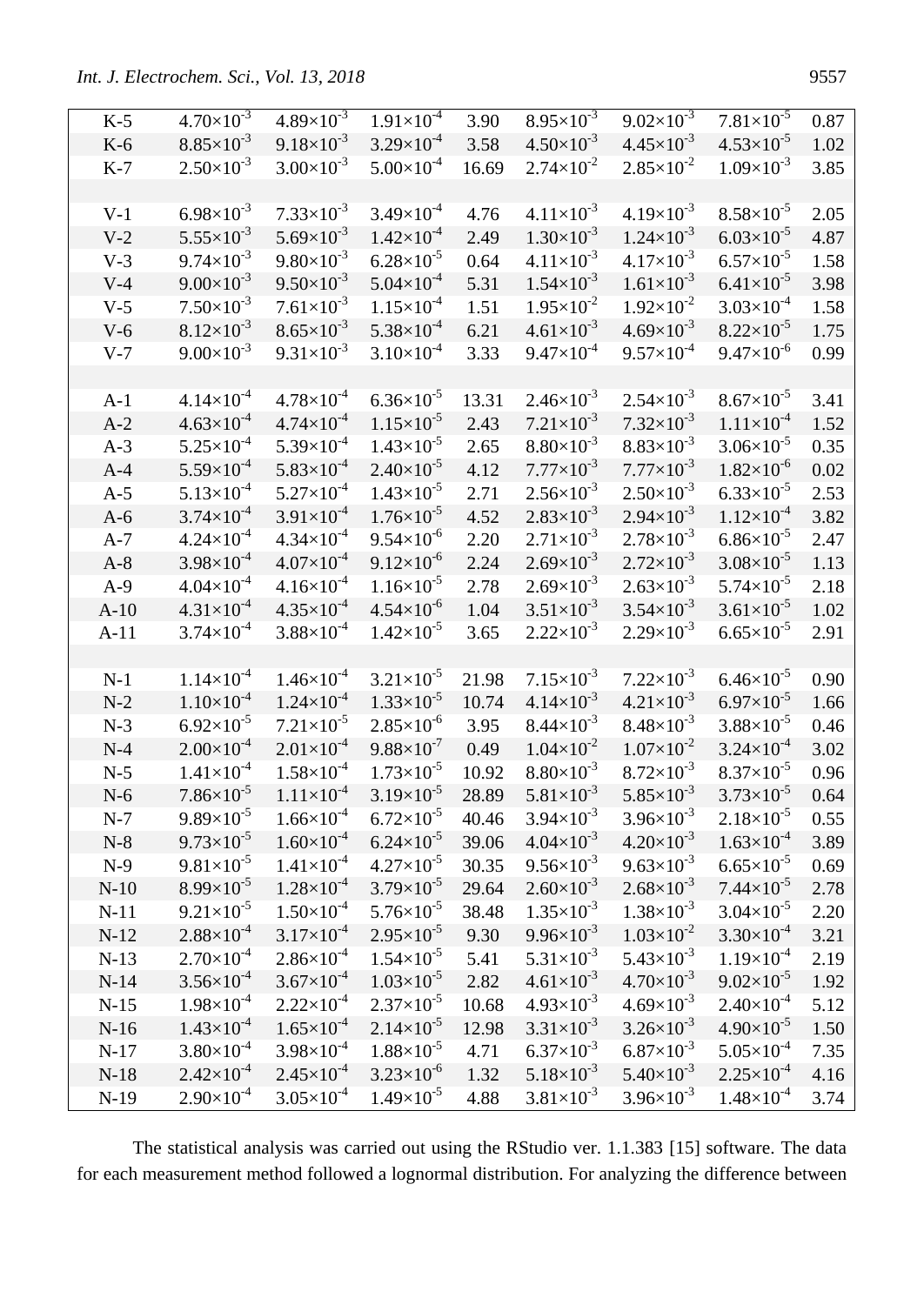| $K-5$  | $4.70\times10^{-3}$   | $4.89\times10^{-3}$   | $1.91\times10^{-4}$   | 3.90  | $8.95\times10^{-3}$   | $9.02\times10^{-3}$   | $7.81\times10^{-5}$   | 0.87 |
|--------|-----------------------|-----------------------|-----------------------|-------|-----------------------|-----------------------|-----------------------|------|
| $K-6$  | $8.85\times10^{-3}$   | $9.18 \times 10^{-3}$ | $3.29\times10^{-4}$   | 3.58  | $4.50\times10^{-3}$   | $4.45\times10^{-3}$   | $4.53\times10^{-5}$   | 1.02 |
| $K-7$  | $2.50\times10^{-3}$   | $3.00\times10^{-3}$   | $5.00\times10^{-4}$   | 16.69 | $2.74 \times 10^{-2}$ | $2.85 \times 10^{-2}$ | $1.09\times10^{-3}$   | 3.85 |
|        |                       |                       |                       |       |                       |                       |                       |      |
| $V-1$  | $6.98 \times 10^{-3}$ | $7.33\times10^{-3}$   | $3.49\times10^{-4}$   | 4.76  | $4.11 \times 10^{-3}$ | $4.19\times10^{-3}$   | $8.58\times10^{-5}$   | 2.05 |
| $V-2$  | $5.55 \times 10^{-3}$ | $5.69\times10^{-3}$   | $1.42\times10^{-4}$   | 2.49  | $1.30\times10^{-3}$   | $1.24\times10^{-3}$   | $6.03\times10^{-5}$   | 4.87 |
| $V-3$  | $9.74\times10^{-3}$   | $9.80\times10^{-3}$   | $6.28\times10^{-5}$   | 0.64  | $4.11 \times 10^{-3}$ | $4.17\times10^{-3}$   | $6.57\times10^{-5}$   | 1.58 |
| $V-4$  | $9.00\times10^{-3}$   | $9.50\times10^{-3}$   | $5.04\times10^{-4}$   | 5.31  | $1.54\times10^{-3}$   | $1.61\times10^{-3}$   | $6.41\times10^{-5}$   | 3.98 |
| $V-5$  | $7.50\times10^{-3}$   | $7.61\times10^{-3}$   | $1.15\times10^{-4}$   | 1.51  | $1.95\times10^{-2}$   | $1.92\times10^{-2}$   | $3.03\times10^{-4}$   | 1.58 |
| $V-6$  | $8.12\times10^{-3}$   | $8.65 \times 10^{-3}$ | $5.38\times10^{-4}$   | 6.21  | $4.61\times10^{-3}$   | $4.69\times10^{-3}$   | $8.22\times10^{-5}$   | 1.75 |
| $V-7$  | $9.00\times10^{-3}$   | $9.31\times10^{-3}$   | $3.10\times10^{-4}$   | 3.33  | $9.47\times10^{-4}$   | $9.57\times10^{-4}$   | $9.47\times10^{-6}$   | 0.99 |
|        |                       |                       |                       |       |                       |                       |                       |      |
| $A-1$  | $4.14\times10^{-4}$   | $4.78\times10^{-4}$   | $6.36\times10^{-5}$   | 13.31 | $2.46\times10^{-3}$   | $2.54\times10^{-3}$   | $8.67\times10^{-5}$   | 3.41 |
| $A-2$  | $4.63\times10^{-4}$   | $4.74 \times 10^{-4}$ | $1.15\times10^{-5}$   | 2.43  | $7.21 \times 10^{-3}$ | $7.32\times10^{-3}$   | $1.11 \times 10^{-4}$ | 1.52 |
| $A-3$  | $5.25\times10^{-4}$   | $5.39\times10^{-4}$   | $1.43\times10^{-5}$   | 2.65  | $8.80\times10^{-3}$   | $8.83\times10^{-3}$   | $3.06\times10^{-5}$   | 0.35 |
| $A-4$  | $5.59\times10^{-4}$   | $5.83\times10^{-4}$   | $2.40\times10^{-5}$   | 4.12  | $7.77\times10^{-3}$   | $7.77\times10^{-3}$   | $1.82\times10^{-6}$   | 0.02 |
| $A-5$  | $5.13\times10^{-4}$   | $5.27\times10^{-4}$   | $1.43\times10^{-5}$   | 2.71  | $2.56\times10^{-3}$   | $2.50\times10^{-3}$   | $6.33\times10^{-5}$   | 2.53 |
| $A-6$  | $3.74\times10^{-4}$   | $3.91\times10^{-4}$   | $1.76\times10^{-5}$   | 4.52  | $2.83\times10^{-3}$   | $2.94 \times 10^{-3}$ | $1.12\times10^{-4}$   | 3.82 |
| $A-7$  | $4.24\times10^{-4}$   | $4.34\times10^{-4}$   | $9.54\times10^{-6}$   | 2.20  | $2.71\times10^{-3}$   | $2.78\times10^{-3}$   | $6.86\times10^{-5}$   | 2.47 |
| $A-8$  | $3.98\times10^{-4}$   | $4.07\times10^{-4}$   | $9.12\times10^{-6}$   | 2.24  | $2.69\times10^{-3}$   | $2.72\times10^{-3}$   | $3.08\times10^{-5}$   | 1.13 |
| $A-9$  | $4.04\times10^{-4}$   | $4.16\times10^{-4}$   | $1.16\times10^{-5}$   | 2.78  | $2.69\times10^{-3}$   | $2.63\times10^{-3}$   | $5.74\times10^{-5}$   | 2.18 |
| $A-10$ | $4.31\times10^{-4}$   | $4.35\times10^{-4}$   | $4.54\times10^{-6}$   | 1.04  | $3.51\times10^{-3}$   | $3.54\times10^{-3}$   | $3.61\times10^{-5}$   | 1.02 |
| $A-11$ | $3.74\times10^{-4}$   | $3.88\times10^{-4}$   | $1.42\times10^{-5}$   | 3.65  | $2.22 \times 10^{-3}$ | $2.29\times10^{-3}$   | $6.65 \times 10^{-5}$ | 2.91 |
|        |                       |                       |                       |       |                       |                       |                       |      |
| $N-1$  | $1.14\times10^{-4}$   | $1.46\times10^{-4}$   | $3.21 \times 10^{-5}$ | 21.98 | $7.15\times10^{-3}$   | $7.22\times10^{-3}$   | $6.46\times10^{-5}$   | 0.90 |
| $N-2$  | $1.10\times10^{-4}$   | $1.24\times10^{-4}$   | $1.33\times10^{-5}$   | 10.74 | $4.14 \times 10^{-3}$ | $4.21 \times 10^{-3}$ | $6.97\times10^{-5}$   | 1.66 |
| $N-3$  | $6.92\times10^{-5}$   | $7.21\times10^{-5}$   | $2.85\times10^{-6}$   | 3.95  | $8.44 \times 10^{-3}$ | $8.48\times10^{-3}$   | $3.88 \times 10^{-5}$ | 0.46 |
| $N-4$  | $2.00\times10^{-4}$   | $2.01\times10^{-4}$   | $9.88\times10^{-7}$   | 0.49  | $1.04\times10^{-2}$   | $1.07\times10^{-2}$   | $3.24\times10^{-4}$   | 3.02 |
| $N-5$  | $1.41\times10^{-4}$   | $1.58\times10^{-4}$   | $1.73\times10^{-5}$   | 10.92 | $8.80\times10^{-3}$   | $8.72\times10^{-3}$   | $8.37\times10^{-5}$   | 0.96 |
| $N-6$  | $7.86\times10^{-5}$   | $1.11\times10^{-4}$   | $3.19\times10^{-5}$   | 28.89 | $5.81\times10^{-3}$   | $5.85 \times 10^{-3}$ | $3.73 \times 10^{-5}$ | 0.64 |
| $N-7$  | $9.89\times10^{-5}$   | $1.66 \times 10^{-4}$ | $6.72\times10^{-5}$   | 40.46 | $3.94 \times 10^{-3}$ | $3.96 \times 10^{-3}$ | $2.18 \times 10^{-5}$ | 0.55 |
| $N-8$  | $9.73 \times 10^{-5}$ | $1.60\times10^{-4}$   | $6.24 \times 10^{-5}$ | 39.06 | $4.04\times10^{-3}$   | $4.20\times10^{-3}$   | $1.63\times10^{-4}$   | 3.89 |
| $N-9$  | $9.81\times10^{-5}$   | $1.41\times10^{-4}$   | $4.27\times10^{-5}$   | 30.35 | $9.56 \times 10^{-3}$ | $9.63\times10^{-3}$   | $6.65\times10^{-5}$   | 0.69 |
| $N-10$ | $8.99\times10^{-5}$   | $1.28\times10^{-4}$   | $3.79\times10^{-5}$   | 29.64 | $2.60\times10^{-3}$   | $2.68 \times 10^{-3}$ | $7.44 \times 10^{-5}$ | 2.78 |
| $N-11$ | $9.21 \times 10^{-5}$ | $1.50\times10^{-4}$   | $5.76 \times 10^{-5}$ | 38.48 | $1.35\times10^{-3}$   | $1.38\times10^{-3}$   | $3.04 \times 10^{-5}$ | 2.20 |
| $N-12$ | $2.88\times10^{-4}$   | $3.17\times10^{-4}$   | $2.95\times10^{-5}$   | 9.30  | $9.96 \times 10^{-3}$ | $1.03\times10^{-2}$   | $3.30\times10^{-4}$   | 3.21 |
| $N-13$ | $2.70\times10^{-4}$   | $2.86\times10^{-4}$   | $1.54\times10^{-5}$   | 5.41  | $5.31\times10^{-3}$   | $5.43\times10^{-3}$   | $1.19\times10^{-4}$   | 2.19 |
| $N-14$ | $3.56 \times 10^{-4}$ | $3.67\times10^{-4}$   | $1.03\times10^{-5}$   | 2.82  | $4.61\times10^{-3}$   | $4.70\times10^{-3}$   | $9.02\times10^{-5}$   | 1.92 |
| $N-15$ | $1.98\times10^{-4}$   | $2.22\times10^{-4}$   | $2.37\times10^{-5}$   | 10.68 | $4.93\times10^{-3}$   | $4.69\times10^{-3}$   | $2.40\times10^{-4}$   | 5.12 |
| $N-16$ | $1.43\times10^{-4}$   | $1.65\times10^{-4}$   | $2.14 \times 10^{-5}$ | 12.98 | $3.31\times10^{-3}$   | $3.26 \times 10^{-3}$ | $4.90\times10^{-5}$   | 1.50 |
| $N-17$ | $3.80\times10^{-4}$   | $3.98 \times 10^{-4}$ | $1.88 \times 10^{-5}$ | 4.71  | $6.37\times10^{-3}$   | $6.87\times10^{-3}$   | $5.05\times10^{-4}$   | 7.35 |
| $N-18$ | $2.42\times10^{-4}$   | $2.45\times10^{-4}$   | $3.23 \times 10^{-6}$ | 1.32  | $5.18\times10^{-3}$   | $5.40\times10^{-3}$   | $2.25 \times 10^{-4}$ | 4.16 |
| $N-19$ | $2.90\times10^{-4}$   | $3.05 \times 10^{-4}$ | $1.49\times10^{-5}$   | 4.88  | $3.81\times10^{-3}$   | $3.96 \times 10^{-3}$ | $1.48\times10^{-4}$   | 3.74 |

The statistical analysis was carried out using the RStudio ver. 1.1.383 [15] software. The data for each measurement method followed a lognormal distribution. For analyzing the difference between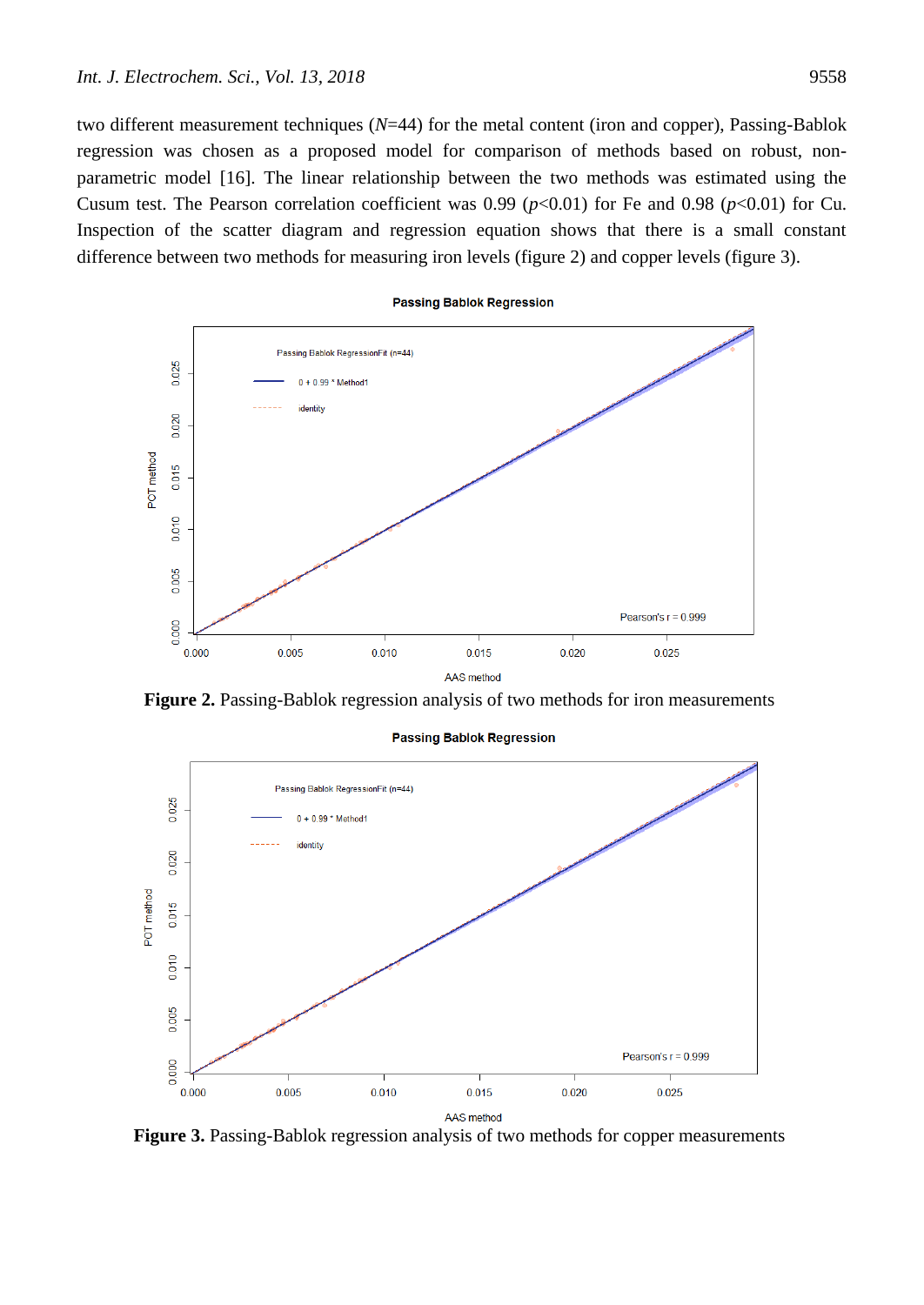two different measurement techniques (*N*=44) for the metal content (iron and copper), Passing-Bablok regression was chosen as a proposed model for comparison of methods based on robust, nonparametric model [16]. The linear relationship between the two methods was estimated using the Cusum test. The Pearson correlation coefficient was  $0.99$  ( $p<0.01$ ) for Fe and  $0.98$  ( $p<0.01$ ) for Cu. Inspection of the scatter diagram and regression equation shows that there is a small constant difference between two methods for measuring iron levels (figure 2) and copper levels (figure 3).



**Figure 2.** Passing-Bablok regression analysis of two methods for iron measurements



**Passing Bablok Regression** 

**Figure 3.** Passing-Bablok regression analysis of two methods for copper measurements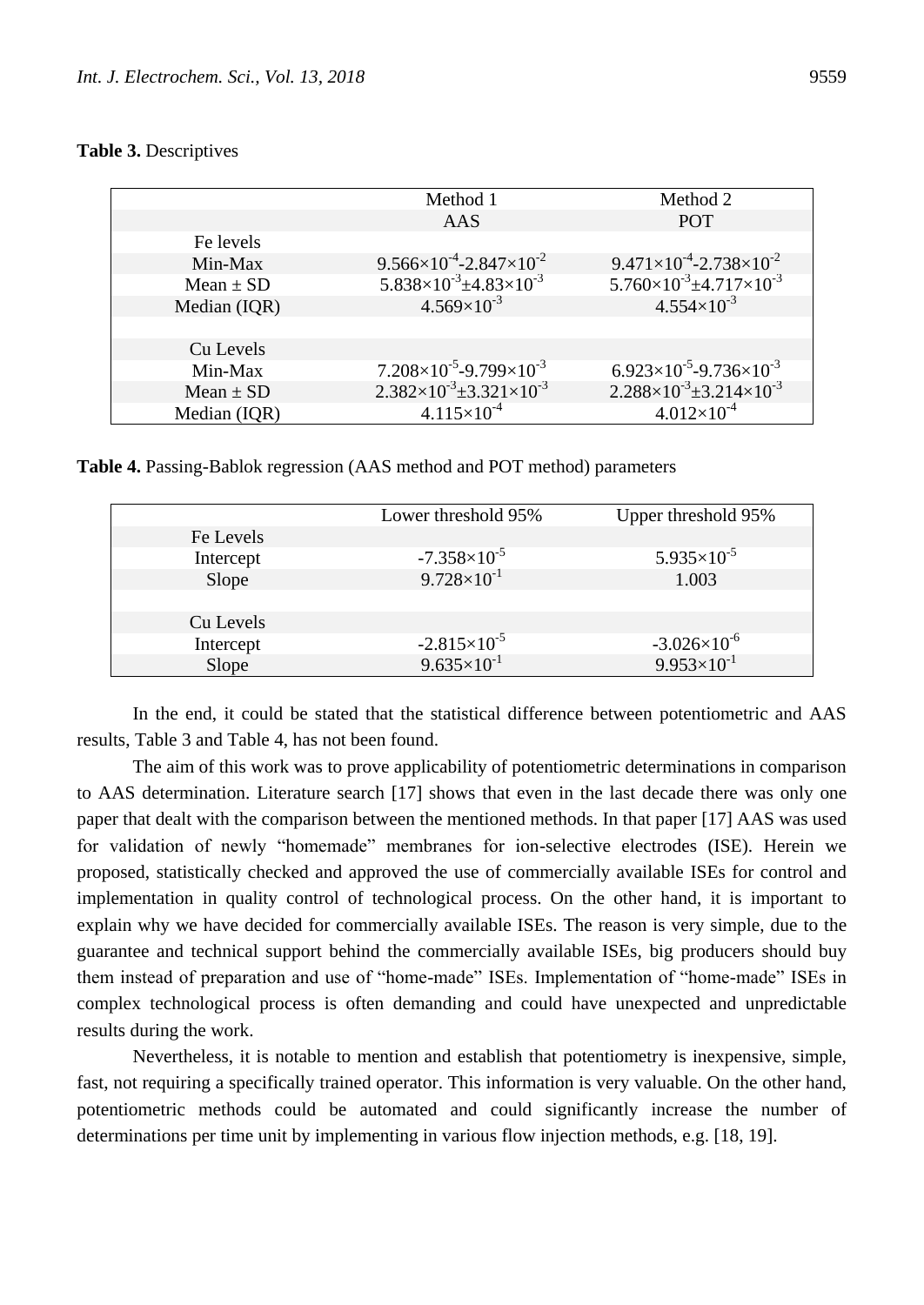## **Table 3.** Descriptives

|               | Method 1                                    | Method 2                                    |
|---------------|---------------------------------------------|---------------------------------------------|
|               | AAS                                         | <b>POT</b>                                  |
| Fe levels     |                                             |                                             |
| Min-Max       | $9.566\times10^{-4}$ -2.847 $\times10^{-2}$ | $9.471\times10^{-4}$ -2.738 $\times10^{-2}$ |
| Mean $\pm$ SD | $5.838\times10^{-3}$ ±4.83 $\times10^{-3}$  | $5.760\times10^{-3}$ ±4.717 $\times10^{-3}$ |
| Median (IQR)  | $4.569\times10^{-3}$                        | $4.554\times10^{-3}$                        |
|               |                                             |                                             |
| Cu Levels     |                                             |                                             |
| Min-Max       | $7.208\times10^{-5}$ -9.799 $\times10^{-3}$ | $6.923\times10^{-5}$ -9.736 $\times10^{-3}$ |
| Mean $\pm$ SD | $2.382\times10^{-3} \pm 3.321\times10^{-3}$ | $2.288\times10^{-3} \pm 3.214\times10^{-3}$ |
| Median (IQR)  | $4.115\times10^{-4}$                        | $4.012\times10^{-4}$                        |

**Table 4.** Passing-Bablok regression (AAS method and POT method) parameters

|           | Lower threshold 95%    | Upper threshold 95%   |
|-----------|------------------------|-----------------------|
| Fe Levels |                        |                       |
| Intercept | $-7.358\times10^{-5}$  | $5.935\times10^{-5}$  |
| Slope     | $9.728 \times 10^{-1}$ | 1.003                 |
|           |                        |                       |
| Cu Levels |                        |                       |
| Intercept | $-2.815\times10^{-5}$  | $-3.026\times10^{-6}$ |
| Slope     | $9.635 \times 10^{-1}$ | $9.953\times10^{-1}$  |

In the end, it could be stated that the statistical difference between potentiometric and AAS results, Table 3 and Table 4, has not been found.

The aim of this work was to prove applicability of potentiometric determinations in comparison to AAS determination. Literature search [17] shows that even in the last decade there was only one paper that dealt with the comparison between the mentioned methods. In that paper [17] AAS was used for validation of newly "homemade" membranes for ion-selective electrodes (ISE). Herein we proposed, statistically checked and approved the use of commercially available ISEs for control and implementation in quality control of technological process. On the other hand, it is important to explain why we have decided for commercially available ISEs. The reason is very simple, due to the guarantee and technical support behind the commercially available ISEs, big producers should buy them instead of preparation and use of "home-made" ISEs. Implementation of "home-made" ISEs in complex technological process is often demanding and could have unexpected and unpredictable results during the work.

Nevertheless, it is notable to mention and establish that potentiometry is inexpensive, simple, fast, not requiring a specifically trained operator. This information is very valuable. On the other hand, potentiometric methods could be automated and could significantly increase the number of determinations per time unit by implementing in various flow injection methods, e.g. [18, 19].